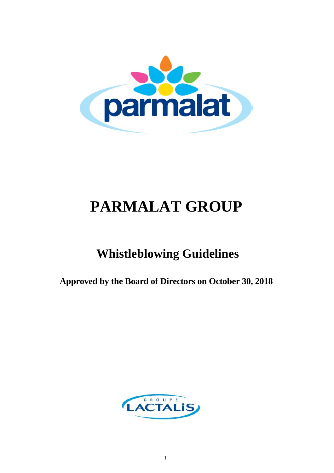

# **PARMALAT GROUP**

## **Whistleblowing Guidelines**

**Approved by the Board of Directors on October 30, 2018** 

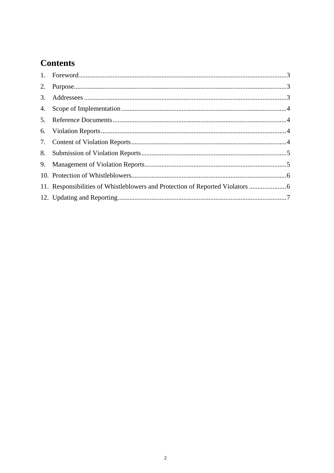### **Contents**

| 11. Responsibilities of Whistleblowers and Protection of Reported Violators |  |
|-----------------------------------------------------------------------------|--|
|                                                                             |  |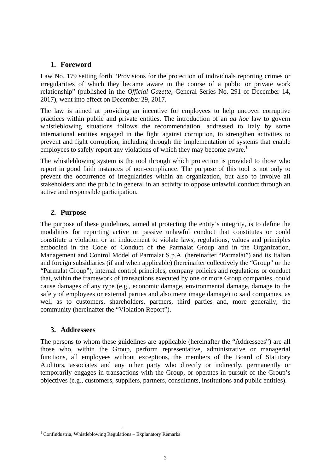#### **1. Foreword**

Law No. 179 setting forth "Provisions for the protection of individuals reporting crimes or irregularities of which they became aware in the course of a public or private work relationship" (published in the *Official Gazette,* General Series No. 291 of December 14, 2017), went into effect on December 29, 2017.

The law is aimed at providing an incentive for employees to help uncover corruptive practices within public and private entities. The introduction of an *ad hoc* law to govern whistleblowing situations follows the recommendation, addressed to Italy by some international entities engaged in the fight against corruption, to strengthen activities to prevent and fight corruption, including through the implementation of systems that enable employees to safely report any violations of which they may become aware.<sup>1</sup>

The whistleblowing system is the tool through which protection is provided to those who report in good faith instances of non-compliance. The purpose of this tool is not only to prevent the occurrence of irregularities within an organization, but also to involve all stakeholders and the public in general in an activity to oppose unlawful conduct through an active and responsible participation.

#### **2. Purpose**

The purpose of these guidelines, aimed at protecting the entity's integrity, is to define the modalities for reporting active or passive unlawful conduct that constitutes or could constitute a violation or an inducement to violate laws, regulations, values and principles embodied in the Code of Conduct of the Parmalat Group and in the Organization, Management and Control Model of Parmalat S.p.A. (hereinafter "Parmalat") and its Italian and foreign subsidiaries (if and when applicable) (hereinafter collectively the "Group" or the "Parmalat Group"), internal control principles, company policies and regulations or conduct that, within the framework of transactions executed by one or more Group companies, could cause damages of any type (e.g., economic damage, environmental damage, damage to the safety of employees or external parties and also mere image damage) to said companies, as well as to customers, shareholders, partners, third parties and, more generally, the community (hereinafter the "Violation Report").

#### **3. Addressees**

l

The persons to whom these guidelines are applicable (hereinafter the "Addressees") are all those who, within the Group, perform representative, administrative or managerial functions, all employees without exceptions, the members of the Board of Statutory Auditors, associates and any other party who directly or indirectly, permanently or temporarily engages in transactions with the Group, or operates in pursuit of the Group's objectives (e.g., customers, suppliers, partners, consultants, institutions and public entities).

 $1$  Confindustria, Whistleblowing Regulations – Explanatory Remarks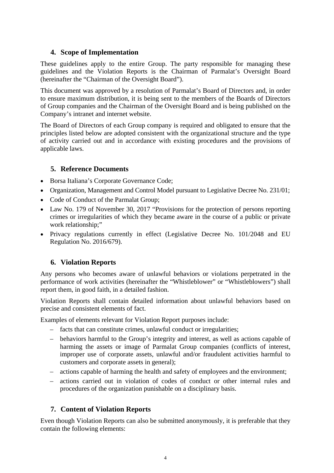#### **4. Scope of Implementation**

These guidelines apply to the entire Group. The party responsible for managing these guidelines and the Violation Reports is the Chairman of Parmalat's Oversight Board (hereinafter the "Chairman of the Oversight Board").

This document was approved by a resolution of Parmalat's Board of Directors and, in order to ensure maximum distribution, it is being sent to the members of the Boards of Directors of Group companies and the Chairman of the Oversight Board and is being published on the Company's intranet and internet website.

The Board of Directors of each Group company is required and obligated to ensure that the principles listed below are adopted consistent with the organizational structure and the type of activity carried out and in accordance with existing procedures and the provisions of applicable laws.

#### **5. Reference Documents**

- Borsa Italiana's Corporate Governance Code;
- Organization, Management and Control Model pursuant to Legislative Decree No. 231/01;
- Code of Conduct of the Parmalat Group;
- Law No. 179 of November 30, 2017 "Provisions for the protection of persons reporting crimes or irregularities of which they became aware in the course of a public or private work relationship;"
- Privacy regulations currently in effect (Legislative Decree No. 101/2048 and EU Regulation No. 2016/679).

#### **6. Violation Reports**

Any persons who becomes aware of unlawful behaviors or violations perpetrated in the performance of work activities (hereinafter the "Whistleblower" or "Whistleblowers") shall report them, in good faith, in a detailed fashion.

Violation Reports shall contain detailed information about unlawful behaviors based on precise and consistent elements of fact.

Examples of elements relevant for Violation Report purposes include:

- facts that can constitute crimes, unlawful conduct or irregularities;
- behaviors harmful to the Group's integrity and interest, as well as actions capable of harming the assets or image of Parmalat Group companies (conflicts of interest, improper use of corporate assets, unlawful and/or fraudulent activities harmful to customers and corporate assets in general);
- actions capable of harming the health and safety of employees and the environment;
- actions carried out in violation of codes of conduct or other internal rules and procedures of the organization punishable on a disciplinary basis.

#### **7. Content of Violation Reports**

Even though Violation Reports can also be submitted anonymously, it is preferable that they contain the following elements: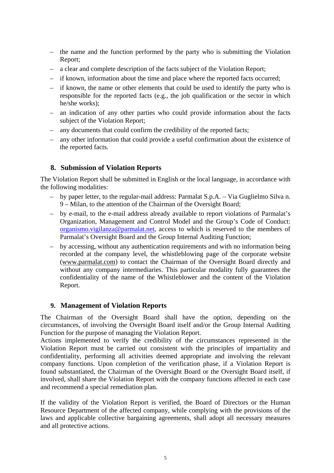- the name and the function performed by the party who is submitting the Violation Report;
- a clear and complete description of the facts subject of the Violation Report;
- if known, information about the time and place where the reported facts occurred;
- if known, the name or other elements that could be used to identify the party who is responsible for the reported facts (e.g., the job qualification or the sector in which he/she works);
- an indication of any other parties who could provide information about the facts subject of the Violation Report:
- any documents that could confirm the credibility of the reported facts;
- any other information that could provide a useful confirmation about the existence of the reported facts.

#### **8. Submission of Violation Reports**

The Violation Report shall be submitted in English or the local language, in accordance with the following modalities:

- by paper letter, to the regular-mail address: Parmalat S.p.A. Via Guglielmo Silva n. 9 – Milan, to the attention of the Chairman of the Oversight Board;
- by e-mail, to the e-mail address already available to report violations of Parmalat's Organization, Management and Control Model and the Group's Code of Conduct: organismo.vigilanza@parmalat.net, access to which is reserved to the members of Parmalat's Oversight Board and the Group Internal Auditing Function;
- by accessing, without any authentication requirements and with no information being recorded at the company level, the whistleblowing page of the corporate website (www.parmalat.com) to contact the Chairman of the Oversight Board directly and without any company intermediaries. This particular modality fully guarantees the confidentiality of the name of the Whistleblower and the content of the Violation Report.

#### **9. Management of Violation Reports**

The Chairman of the Oversight Board shall have the option, depending on the circumstances, of involving the Oversight Board itself and/or the Group Internal Auditing Function for the purpose of managing the Violation Report.

Actions implemented to verify the credibility of the circumstances represented in the Violation Report must be carried out consistent with the principles of impartiality and confidentiality, performing all activities deemed appropriate and involving the relevant company functions. Upon completion of the verification phase, if a Violation Report is found substantiated, the Chairman of the Oversight Board or the Oversight Board itself, if involved, shall share the Violation Report with the company functions affected in each case and recommend a special remediation plan.

If the validity of the Violation Report is verified, the Board of Directors or the Human Resource Department of the affected company, while complying with the provisions of the laws and applicable collective bargaining agreements, shall adopt all necessary measures and all protective actions.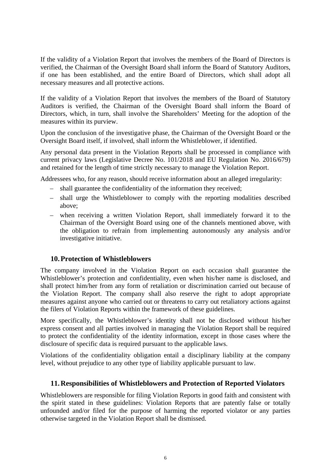If the validity of a Violation Report that involves the members of the Board of Directors is verified, the Chairman of the Oversight Board shall inform the Board of Statutory Auditors, if one has been established, and the entire Board of Directors, which shall adopt all necessary measures and all protective actions.

If the validity of a Violation Report that involves the members of the Board of Statutory Auditors is verified, the Chairman of the Oversight Board shall inform the Board of Directors, which, in turn, shall involve the Shareholders' Meeting for the adoption of the measures within its purview.

Upon the conclusion of the investigative phase, the Chairman of the Oversight Board or the Oversight Board itself, if involved, shall inform the Whistleblower, if identified.

Any personal data present in the Violation Reports shall be processed in compliance with current privacy laws (Legislative Decree No. 101/2018 and EU Regulation No. 2016/679) and retained for the length of time strictly necessary to manage the Violation Report.

Addressees who, for any reason, should receive information about an alleged irregularity:

- shall guarantee the confidentiality of the information they received;
- shall urge the Whistleblower to comply with the reporting modalities described above;
- when receiving a written Violation Report, shall immediately forward it to the Chairman of the Oversight Board using one of the channels mentioned above, with the obligation to refrain from implementing autonomously any analysis and/or investigative initiative.

#### **10.Protection of Whistleblowers**

The company involved in the Violation Report on each occasion shall guarantee the Whistleblower's protection and confidentiality, even when his/her name is disclosed, and shall protect him/her from any form of retaliation or discrimination carried out because of the Violation Report. The company shall also reserve the right to adopt appropriate measures against anyone who carried out or threatens to carry out retaliatory actions against the filers of Violation Reports within the framework of these guidelines.

More specifically, the Whistleblower's identity shall not be disclosed without his/her express consent and all parties involved in managing the Violation Report shall be required to protect the confidentiality of the identity information, except in those cases where the disclosure of specific data is required pursuant to the applicable laws.

Violations of the confidentiality obligation entail a disciplinary liability at the company level, without prejudice to any other type of liability applicable pursuant to law.

#### **11.Responsibilities of Whistleblowers and Protection of Reported Violators**

Whistleblowers are responsible for filing Violation Reports in good faith and consistent with the spirit stated in these guidelines: Violation Reports that are patently false or totally unfounded and/or filed for the purpose of harming the reported violator or any parties otherwise targeted in the Violation Report shall be dismissed.